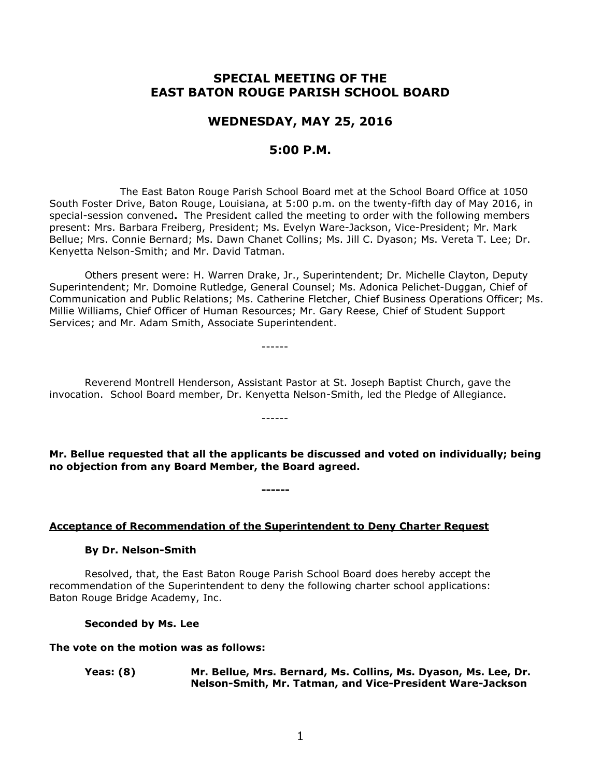# **SPECIAL MEETING OF THE EAST BATON ROUGE PARISH SCHOOL BOARD**

## **WEDNESDAY, MAY 25, 2016**

## **5:00 P.M.**

The East Baton Rouge Parish School Board met at the School Board Office at 1050 South Foster Drive, Baton Rouge, Louisiana, at 5:00 p.m. on the twenty-fifth day of May 2016, in special-session convened**.** The President called the meeting to order with the following members present: Mrs. Barbara Freiberg, President; Ms. Evelyn Ware-Jackson, Vice-President; Mr. Mark Bellue; Mrs. Connie Bernard; Ms. Dawn Chanet Collins; Ms. Jill C. Dyason; Ms. Vereta T. Lee; Dr. Kenyetta Nelson-Smith; and Mr. David Tatman.

Others present were: H. Warren Drake, Jr., Superintendent; Dr. Michelle Clayton, Deputy Superintendent; Mr. Domoine Rutledge, General Counsel; Ms. Adonica Pelichet-Duggan, Chief of Communication and Public Relations; Ms. Catherine Fletcher, Chief Business Operations Officer; Ms. Millie Williams, Chief Officer of Human Resources; Mr. Gary Reese, Chief of Student Support Services; and Mr. Adam Smith, Associate Superintendent.

Reverend Montrell Henderson, Assistant Pastor at St. Joseph Baptist Church, gave the invocation. School Board member, Dr. Kenyetta Nelson-Smith, led the Pledge of Allegiance.

------

------

**Mr. Bellue requested that all the applicants be discussed and voted on individually; being no objection from any Board Member, the Board agreed.**

**Acceptance of Recommendation of the Superintendent to Deny Charter Request**

**------**

#### **By Dr. Nelson-Smith**

Resolved, that, the East Baton Rouge Parish School Board does hereby accept the recommendation of the Superintendent to deny the following charter school applications: Baton Rouge Bridge Academy, Inc.

**Seconded by Ms. Lee**

#### **The vote on the motion was as follows:**

**Yeas: (8) Mr. Bellue, Mrs. Bernard, Ms. Collins, Ms. Dyason, Ms. Lee, Dr. Nelson-Smith, Mr. Tatman, and Vice-President Ware-Jackson**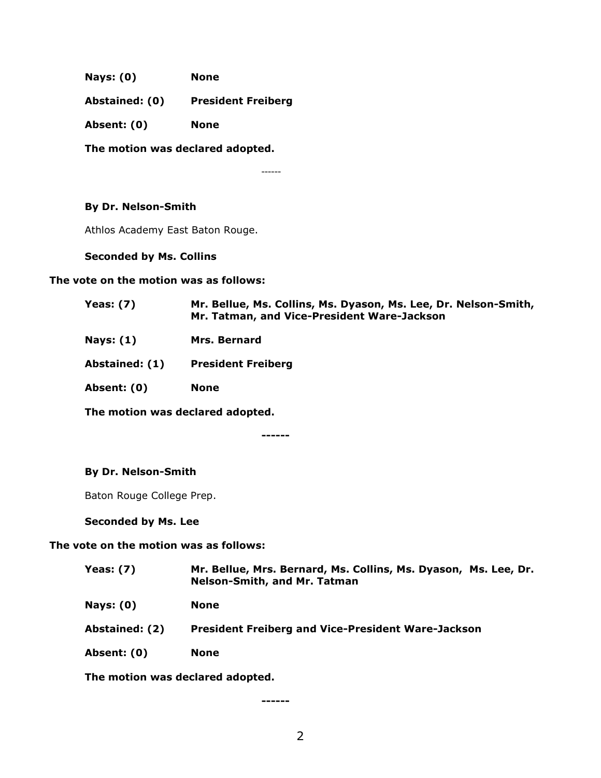**Nays: (0) None**

**Abstained: (0) President Freiberg**

**Absent: (0) None**

**The motion was declared adopted.**

------

### **By Dr. Nelson-Smith**

Athlos Academy East Baton Rouge.

### **Seconded by Ms. Collins**

### **The vote on the motion was as follows:**

| <b>Yeas: (7)</b> | Mr. Bellue, Ms. Collins, Ms. Dyason, Ms. Lee, Dr. Nelson-Smith,<br>Mr. Tatman, and Vice-President Ware-Jackson |
|------------------|----------------------------------------------------------------------------------------------------------------|
| Nays: (1)        | Mrs. Bernard                                                                                                   |
| Abstained: (1)   | <b>President Freiberg</b>                                                                                      |
| Absent: (0)      | <b>None</b>                                                                                                    |
|                  |                                                                                                                |

**The motion was declared adopted.**

**------**

## **By Dr. Nelson-Smith**

Baton Rouge College Prep.

**Seconded by Ms. Lee**

## **The vote on the motion was as follows:**

| <b>Yeas: (7)</b> | Mr. Bellue, Mrs. Bernard, Ms. Collins, Ms. Dyason, Ms. Lee, Dr.<br><b>Nelson-Smith, and Mr. Tatman</b> |
|------------------|--------------------------------------------------------------------------------------------------------|
| <b>Nays: (0)</b> | <b>None</b>                                                                                            |
| Abstained: (2)   | <b>President Freiberg and Vice-President Ware-Jackson</b>                                              |
| Absent: (0)      | <b>None</b>                                                                                            |
|                  | White control and control distribution of the distribution of                                          |

**The motion was declared adopted.**

**------**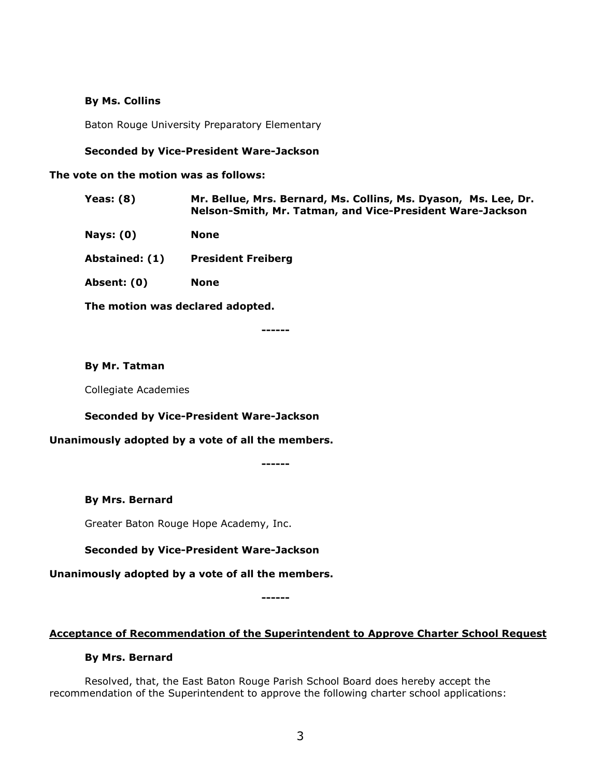### **By Ms. Collins**

Baton Rouge University Preparatory Elementary

### **Seconded by Vice-President Ware-Jackson**

#### **The vote on the motion was as follows:**

- **Yeas: (8) Mr. Bellue, Mrs. Bernard, Ms. Collins, Ms. Dyason, Ms. Lee, Dr. Nelson-Smith, Mr. Tatman, and Vice-President Ware-Jackson**
- **Nays: (0) None**

**Abstained: (1) President Freiberg** 

**Absent: (0) None**

**The motion was declared adopted.**

**------**

### **By Mr. Tatman**

Collegiate Academies

### **Seconded by Vice-President Ware-Jackson**

### **Unanimously adopted by a vote of all the members.**

**------**

### **By Mrs. Bernard**

Greater Baton Rouge Hope Academy, Inc.

## **Seconded by Vice-President Ware-Jackson**

# **Unanimously adopted by a vote of all the members.**

**------**

### **Acceptance of Recommendation of the Superintendent to Approve Charter School Request**

### **By Mrs. Bernard**

Resolved, that, the East Baton Rouge Parish School Board does hereby accept the recommendation of the Superintendent to approve the following charter school applications: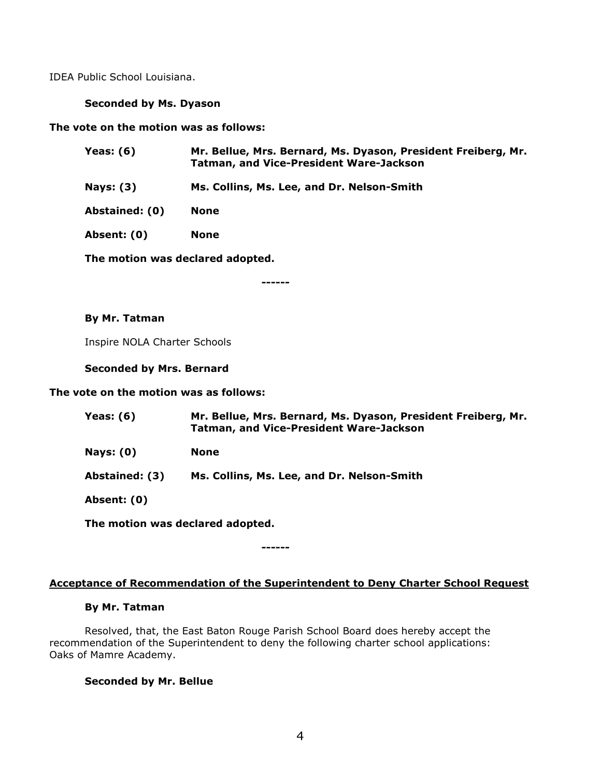IDEA Public School Louisiana.

### **Seconded by Ms. Dyason**

**The vote on the motion was as follows:**

| Yeas: $(6)$    | Mr. Bellue, Mrs. Bernard, Ms. Dyason, President Freiberg, Mr.<br><b>Tatman, and Vice-President Ware-Jackson</b> |
|----------------|-----------------------------------------------------------------------------------------------------------------|
| Nays: $(3)$    | Ms. Collins, Ms. Lee, and Dr. Nelson-Smith                                                                      |
| Abstained: (0) | <b>None</b>                                                                                                     |
| Absent: (0)    | None                                                                                                            |
|                | The motion was declared adopted.                                                                                |

**------**

### **By Mr. Tatman**

Inspire NOLA Charter Schools

**Seconded by Mrs. Bernard**

### **The vote on the motion was as follows:**

| Yeas: (6)        | Mr. Bellue, Mrs. Bernard, Ms. Dyason, President Freiberg, Mr.<br><b>Tatman, and Vice-President Ware-Jackson</b> |
|------------------|-----------------------------------------------------------------------------------------------------------------|
| <b>Nays: (0)</b> | None                                                                                                            |
| Abstained: (3)   | Ms. Collins, Ms. Lee, and Dr. Nelson-Smith                                                                      |
| Absent: (0)      |                                                                                                                 |
|                  |                                                                                                                 |

**The motion was declared adopted.**

## **Acceptance of Recommendation of the Superintendent to Deny Charter School Request**

**------**

#### **By Mr. Tatman**

Resolved, that, the East Baton Rouge Parish School Board does hereby accept the recommendation of the Superintendent to deny the following charter school applications: Oaks of Mamre Academy.

### **Seconded by Mr. Bellue**